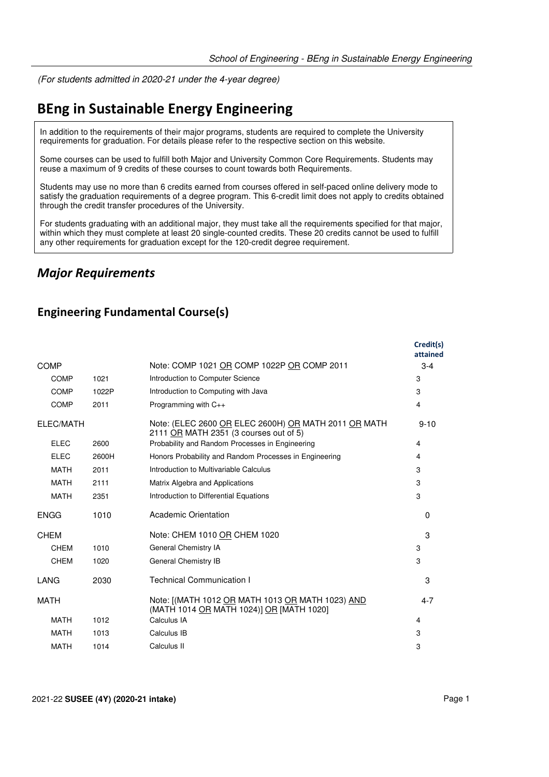(For students admitted in 2020-21 under the 4-year degree)

# **BEng in Sustainable Energy Engineering**

In addition to the requirements of their major programs, students are required to complete the University requirements for graduation. For details please refer to the respective section on this website.

Some courses can be used to fulfill both Major and University Common Core Requirements. Students may reuse a maximum of 9 credits of these courses to count towards both Requirements.

Students may use no more than 6 credits earned from courses offered in self-paced online delivery mode to satisfy the graduation requirements of a degree program. This 6-credit limit does not apply to credits obtained through the credit transfer procedures of the University.

For students graduating with an additional major, they must take all the requirements specified for that major, within which they must complete at least 20 single-counted credits. These 20 credits cannot be used to fulfill any other requirements for graduation except for the 120-credit degree requirement.

### *Major Requirements*

#### **Engineering Fundamental Course(s)**

|             |       |                                                                                                | Credit(s)<br>attained |
|-------------|-------|------------------------------------------------------------------------------------------------|-----------------------|
| <b>COMP</b> |       | Note: COMP 1021 OR COMP 1022P OR COMP 2011                                                     | $3 - 4$               |
| <b>COMP</b> | 1021  | Introduction to Computer Science                                                               | 3                     |
| COMP        | 1022P | Introduction to Computing with Java                                                            | 3                     |
| <b>COMP</b> | 2011  | Programming with $C_{++}$                                                                      | 4                     |
| ELEC/MATH   |       | Note: (ELEC 2600 OR ELEC 2600H) OR MATH 2011 OR MATH<br>2111 OR MATH 2351 (3 courses out of 5) | $9 - 10$              |
| <b>ELEC</b> | 2600  | Probability and Random Processes in Engineering                                                | 4                     |
| <b>ELEC</b> | 2600H | Honors Probability and Random Processes in Engineering                                         | 4                     |
| <b>MATH</b> | 2011  | Introduction to Multivariable Calculus                                                         | 3                     |
| <b>MATH</b> | 2111  | Matrix Algebra and Applications                                                                | 3                     |
| <b>MATH</b> | 2351  | Introduction to Differential Equations                                                         | 3                     |
| <b>ENGG</b> | 1010  | Academic Orientation                                                                           | $\Omega$              |
| <b>CHEM</b> |       | Note: CHEM 1010 OR CHEM 1020                                                                   | 3                     |
| CHEM        | 1010  | General Chemistry IA                                                                           | 3                     |
| <b>CHEM</b> | 1020  | General Chemistry IB                                                                           | 3                     |
| LANG        | 2030  | <b>Technical Communication I</b>                                                               | 3                     |
| <b>MATH</b> |       | Note: [(MATH 1012 OR MATH 1013 OR MATH 1023) AND<br>(MATH 1014 OR MATH 1024)] OR [MATH 1020]   | $4 - 7$               |
| <b>MATH</b> | 1012  | Calculus IA                                                                                    | 4                     |
| <b>MATH</b> | 1013  | Calculus IB                                                                                    | 3                     |
| <b>MATH</b> | 1014  | Calculus II                                                                                    | 3                     |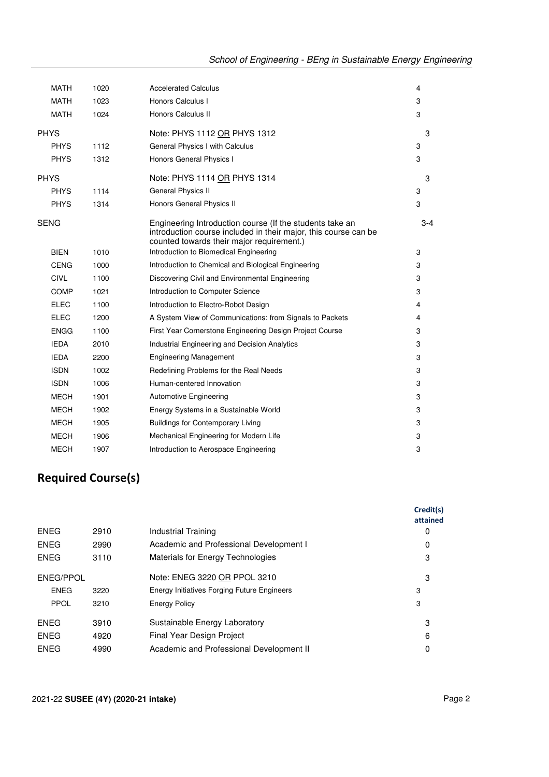| <b>MATH</b> | 1020 | <b>Accelerated Calculus</b>                                                                                                                                              | 4   |
|-------------|------|--------------------------------------------------------------------------------------------------------------------------------------------------------------------------|-----|
| <b>MATH</b> | 1023 | Honors Calculus I                                                                                                                                                        | 3   |
| <b>MATH</b> | 1024 | Honors Calculus II                                                                                                                                                       | 3   |
| <b>PHYS</b> |      | Note: PHYS 1112 OR PHYS 1312                                                                                                                                             | 3   |
| <b>PHYS</b> | 1112 | General Physics I with Calculus                                                                                                                                          | 3   |
| <b>PHYS</b> | 1312 | Honors General Physics I                                                                                                                                                 | 3   |
| <b>PHYS</b> |      | Note: PHYS 1114 OR PHYS 1314                                                                                                                                             | 3   |
| <b>PHYS</b> | 1114 | General Physics II                                                                                                                                                       | 3   |
| <b>PHYS</b> | 1314 | Honors General Physics II                                                                                                                                                | 3   |
| <b>SENG</b> |      | Engineering Introduction course (If the students take an<br>introduction course included in their major, this course can be<br>counted towards their major requirement.) | 3-4 |
| <b>BIEN</b> | 1010 | Introduction to Biomedical Engineering                                                                                                                                   | 3   |
| <b>CENG</b> | 1000 | Introduction to Chemical and Biological Engineering                                                                                                                      | 3   |
| <b>CIVL</b> | 1100 | Discovering Civil and Environmental Engineering                                                                                                                          | 3   |
| <b>COMP</b> | 1021 | Introduction to Computer Science                                                                                                                                         | 3   |
| <b>ELEC</b> | 1100 | Introduction to Electro-Robot Design                                                                                                                                     | 4   |
| <b>ELEC</b> | 1200 | A System View of Communications: from Signals to Packets                                                                                                                 | 4   |
| <b>ENGG</b> | 1100 | First Year Cornerstone Engineering Design Project Course                                                                                                                 | 3   |
| <b>IEDA</b> | 2010 | <b>Industrial Engineering and Decision Analytics</b>                                                                                                                     | 3   |
| <b>IEDA</b> | 2200 | <b>Engineering Management</b>                                                                                                                                            | 3   |
| <b>ISDN</b> | 1002 | Redefining Problems for the Real Needs                                                                                                                                   | 3   |
| <b>ISDN</b> | 1006 | Human-centered Innovation                                                                                                                                                | 3   |
| <b>MECH</b> | 1901 | <b>Automotive Engineering</b>                                                                                                                                            | 3   |
| <b>MECH</b> | 1902 | Energy Systems in a Sustainable World                                                                                                                                    | 3   |
| <b>MECH</b> | 1905 | <b>Buildings for Contemporary Living</b>                                                                                                                                 | 3   |
| <b>MECH</b> | 1906 | Mechanical Engineering for Modern Life                                                                                                                                   | 3   |
| <b>MECH</b> | 1907 | Introduction to Aerospace Engineering                                                                                                                                    | 3   |
|             |      |                                                                                                                                                                          |     |

## **Required Course(s)**

|                  |      |                                             | Credit(s)<br>attained |
|------------------|------|---------------------------------------------|-----------------------|
| <b>ENEG</b>      | 2910 | Industrial Training                         | 0                     |
| <b>ENEG</b>      | 2990 | Academic and Professional Development I     | 0                     |
| <b>ENEG</b>      | 3110 | <b>Materials for Energy Technologies</b>    | 3                     |
| <b>ENEG/PPOL</b> |      | Note: ENEG 3220 OR PPOL 3210                | 3                     |
| <b>ENEG</b>      | 3220 | Energy Initiatives Forging Future Engineers | 3                     |
| PPOL             | 3210 | <b>Energy Policy</b>                        | 3                     |
| <b>ENEG</b>      | 3910 | Sustainable Energy Laboratory               | 3                     |
| <b>ENEG</b>      | 4920 | Final Year Design Project                   | 6                     |
| <b>ENEG</b>      | 4990 | Academic and Professional Development II    | 0                     |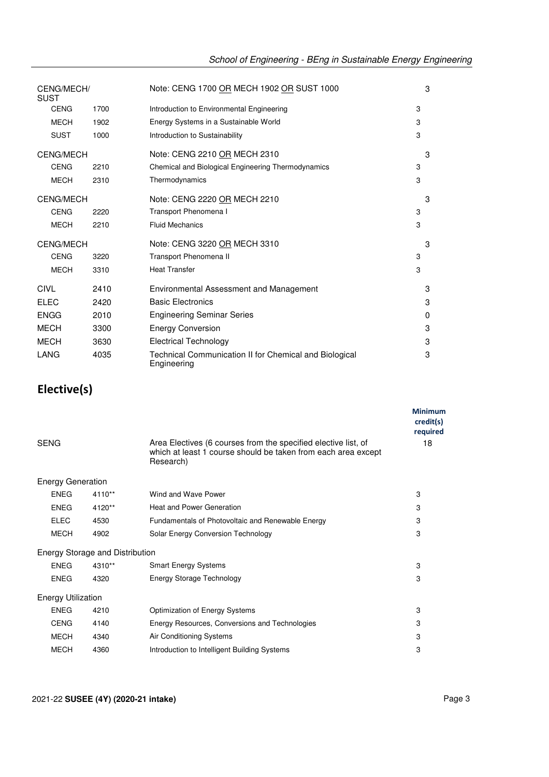| CENG/MECH/<br><b>SUST</b> |      | Note: CENG 1700 OR MECH 1902 OR SUST 1000                             | 3 |  |
|---------------------------|------|-----------------------------------------------------------------------|---|--|
| <b>CENG</b>               | 1700 | Introduction to Environmental Engineering                             | 3 |  |
| <b>MECH</b>               | 1902 | Energy Systems in a Sustainable World                                 | 3 |  |
| <b>SUST</b>               | 1000 | Introduction to Sustainability                                        | 3 |  |
| <b>CENG/MECH</b>          |      | Note: CENG 2210 OR MECH 2310                                          | 3 |  |
| <b>CENG</b>               | 2210 | Chemical and Biological Engineering Thermodynamics                    | 3 |  |
| <b>MECH</b>               | 2310 | Thermodynamics                                                        | 3 |  |
| <b>CENG/MECH</b>          |      | Note: CENG 2220 OR MECH 2210                                          | 3 |  |
| <b>CENG</b>               | 2220 | Transport Phenomena I                                                 | 3 |  |
| <b>MECH</b>               | 2210 | <b>Fluid Mechanics</b>                                                | 3 |  |
| <b>CENG/MECH</b>          |      | Note: CENG 3220 OR MECH 3310                                          | 3 |  |
| <b>CENG</b>               | 3220 | Transport Phenomena II                                                | 3 |  |
| <b>MECH</b>               | 3310 | <b>Heat Transfer</b>                                                  | 3 |  |
| CIVL                      | 2410 | Environmental Assessment and Management                               | 3 |  |
| <b>ELEC</b>               | 2420 | <b>Basic Electronics</b>                                              | 3 |  |
| <b>ENGG</b>               | 2010 | <b>Engineering Seminar Series</b>                                     | 0 |  |
| <b>MECH</b>               | 3300 | <b>Energy Conversion</b>                                              | 3 |  |
| <b>MECH</b>               | 3630 | <b>Electrical Technology</b>                                          | 3 |  |
| LANG                      | 4035 | Technical Communication II for Chemical and Biological<br>Engineering | 3 |  |

## **Elective(s)**

|                           |                                 |                                                                                                                                              | <b>Minimum</b><br>credit(s)<br>required |
|---------------------------|---------------------------------|----------------------------------------------------------------------------------------------------------------------------------------------|-----------------------------------------|
| <b>SENG</b>               |                                 | Area Electives (6 courses from the specified elective list, of<br>which at least 1 course should be taken from each area except<br>Research) | 18                                      |
| <b>Energy Generation</b>  |                                 |                                                                                                                                              |                                         |
| <b>ENEG</b>               | 4110**                          | Wind and Wave Power                                                                                                                          | 3                                       |
| <b>ENEG</b>               | 4120**                          | <b>Heat and Power Generation</b>                                                                                                             | 3                                       |
| <b>ELEC</b>               | 4530                            | Fundamentals of Photovoltaic and Renewable Energy                                                                                            | 3                                       |
| <b>MECH</b>               | 4902                            | Solar Energy Conversion Technology                                                                                                           | 3                                       |
|                           | Energy Storage and Distribution |                                                                                                                                              |                                         |
| <b>ENEG</b>               | 4310**                          | Smart Energy Systems                                                                                                                         | 3                                       |
| <b>ENEG</b>               | 4320                            | Energy Storage Technology                                                                                                                    | 3                                       |
| <b>Energy Utilization</b> |                                 |                                                                                                                                              |                                         |
| <b>ENEG</b>               | 4210                            | Optimization of Energy Systems                                                                                                               | 3                                       |
| <b>CENG</b>               | 4140                            | Energy Resources, Conversions and Technologies                                                                                               | 3                                       |
| <b>MECH</b>               | 4340                            | Air Conditioning Systems                                                                                                                     | 3                                       |
| <b>MECH</b>               | 4360                            | Introduction to Intelligent Building Systems                                                                                                 | 3                                       |